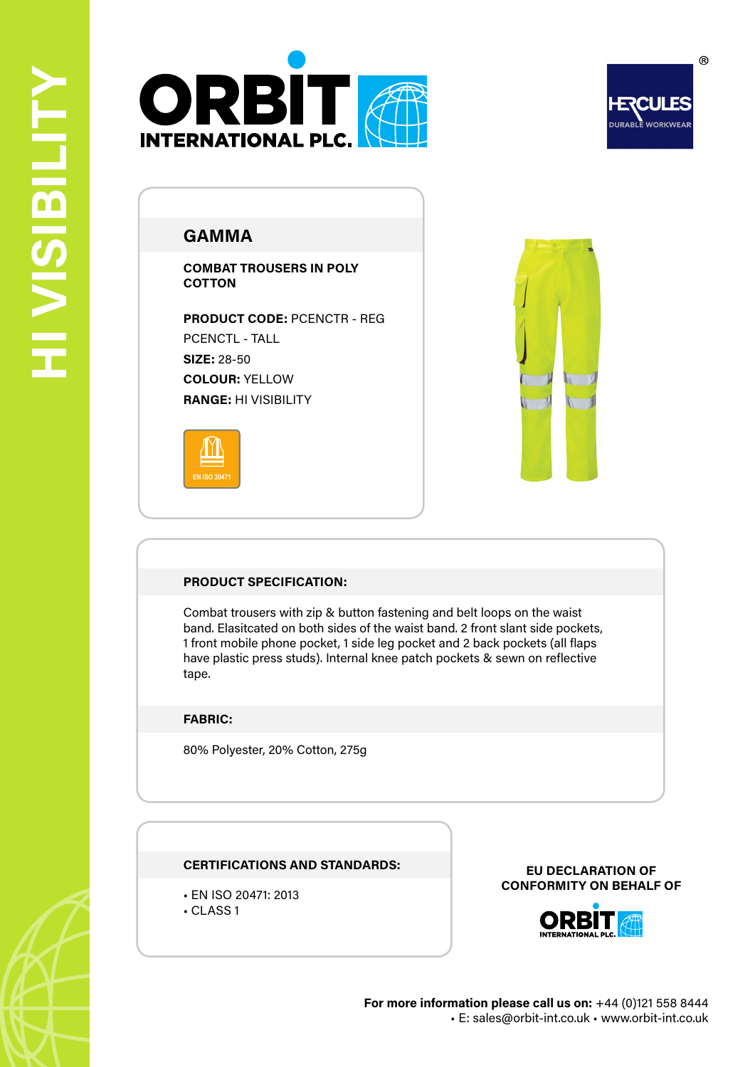



# **GAMMA**

**COMBAT TROUSERS IN POLY COTTON**

**PRODUCT CODE:** PCENCTR - REG PCENCTL - TALL **SIZE:** 28-50 **COLOUR:** YELLOW **RANGE:** HI VISIBILITY





### **PRODUCT SPECIFICATION:**

Combat trousers with zip & button fastening and belt loops on the waist band. Elasitcated on both sides of the waist band. 2 front slant side pockets, 1 front mobile phone pocket, 1 side leg pocket and 2 back pockets (all flaps have plastic press studs). Internal knee patch pockets & sewn on reflective tape.

## **FABRIC:**

80% Polyester, 20% Cotton, 275g

### **CERTIFICATIONS AND STANDARDS:**

- EN ISO 20471: 2013
- CLASS 1

**EU DECLARATION OF CONFORMITY ON BEHALF OF**



 $^{\circ}$